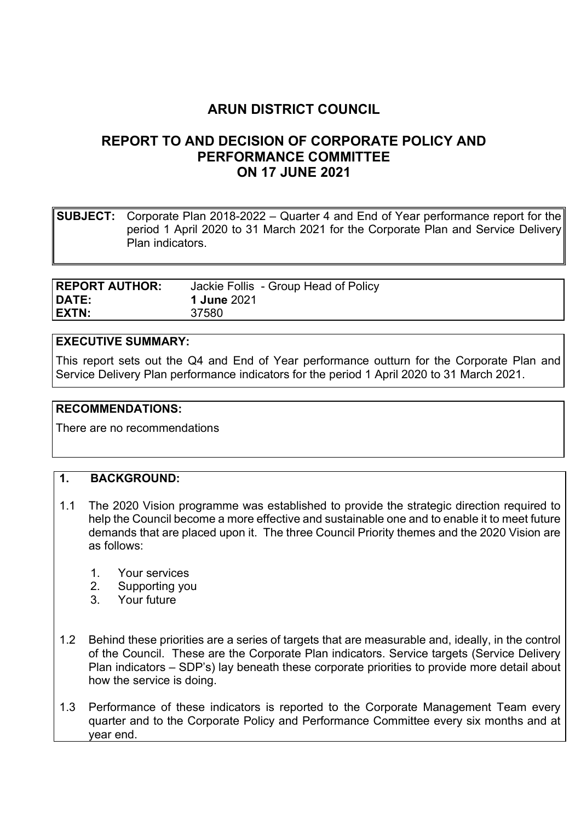# ARUN DISTRICT COUNCIL

## REPORT TO AND DECISION OF CORPORATE POLICY AND PERFORMANCE COMMITTEE ON 17 JUNE 2021

**SUBJECT:** Corporate Plan 2018-2022 – Quarter 4 and End of Year performance report for the period 1 April 2020 to 31 March 2021 for the Corporate Plan and Service Delivery Plan indicators.

| <b>REPORT AUTHOR:</b> | Jackie Follis - Group Head of Policy |
|-----------------------|--------------------------------------|
| <b>DATE:</b>          | <b>1 June 2021</b>                   |
| <b>EXTN:</b>          | 37580                                |

#### EXECUTIVE SUMMARY:

This report sets out the Q4 and End of Year performance outturn for the Corporate Plan and Service Delivery Plan performance indicators for the period 1 April 2020 to 31 March 2021.

#### RECOMMENDATIONS:

There are no recommendations

#### 1. BACKGROUND:

- 1.1 The 2020 Vision programme was established to provide the strategic direction required to help the Council become a more effective and sustainable one and to enable it to meet future demands that are placed upon it. The three Council Priority themes and the 2020 Vision are as follows:
	- 1. Your services
	- 2. Supporting you
	- 3. Your future
- 1.2 Behind these priorities are a series of targets that are measurable and, ideally, in the control of the Council. These are the Corporate Plan indicators. Service targets (Service Delivery Plan indicators – SDP's) lay beneath these corporate priorities to provide more detail about how the service is doing.
- 1.3 Performance of these indicators is reported to the Corporate Management Team every quarter and to the Corporate Policy and Performance Committee every six months and at year end.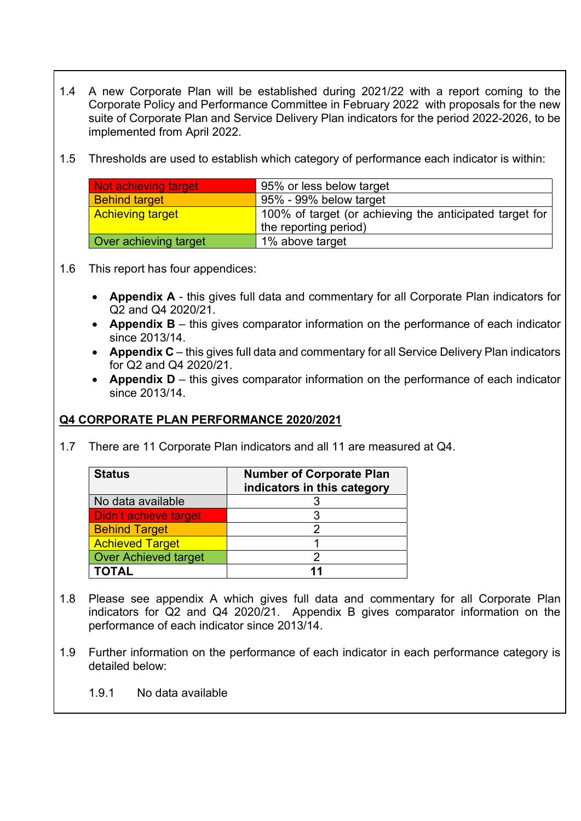- 1.4 A new Corporate Plan will be established during 2021/22 with a report coming to the Corporate Policy and Performance Committee in February 2022 with proposals for the new suite of Corporate Plan and Service Delivery Plan indicators for the period 2022-2026, to be implemented from April 2022.
- 1.5 Thresholds are used to establish which category of performance each indicator is within:

| <b>Not achieving target</b>  | 95% or less below target                                |
|------------------------------|---------------------------------------------------------|
| <b>Behind target</b>         | 95% - 99% below target                                  |
| <b>Achieving target</b>      | 100% of target (or achieving the anticipated target for |
|                              | the reporting period)                                   |
| <b>Over achieving target</b> | 1% above target                                         |

#### 1.6 This report has four appendices:

- Appendix A this gives full data and commentary for all Corporate Plan indicators for Q2 and Q4 2020/21.
- Appendix  $B -$  this gives comparator information on the performance of each indicator since 2013/14.
- **Appendix C** this gives full data and commentary for all Service Delivery Plan indicators for Q2 and Q4 2020/21.
- Appendix D this gives comparator information on the performance of each indicator since 2013/14.

#### Q4 CORPORATE PLAN PERFORMANCE 2020/2021

1.7 There are 11 Corporate Plan indicators and all 11 are measured at Q4.

| <b>Status</b>               | <b>Number of Corporate Plan</b><br>indicators in this category |
|-----------------------------|----------------------------------------------------------------|
| No data available           |                                                                |
| Didn't achieve target       |                                                                |
| <b>Behind Target</b>        |                                                                |
| <b>Achieved Target</b>      |                                                                |
| <b>Over Achieved target</b> |                                                                |
| <b>TOTAL</b>                | 11                                                             |

- 1.8 Please see appendix A which gives full data and commentary for all Corporate Plan indicators for Q2 and Q4 2020/21. Appendix B gives comparator information on the performance of each indicator since 2013/14.
- 1.9 Further information on the performance of each indicator in each performance category is detailed below:
	- 1.9.1 No data available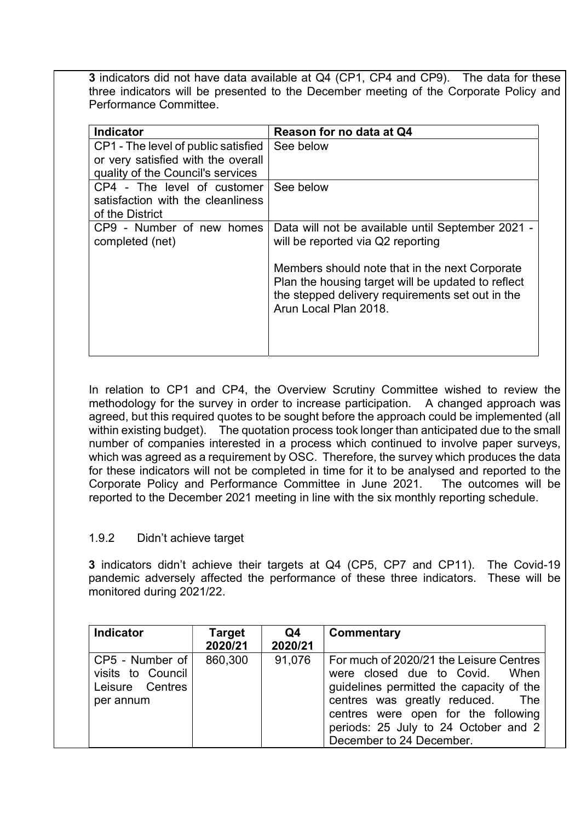3 indicators did not have data available at Q4 (CP1, CP4 and CP9). The data for these three indicators will be presented to the December meeting of the Corporate Policy and Performance Committee.

| <b>Indicator</b>                                                                                               | Reason for no data at Q4                                                                                                                                                          |
|----------------------------------------------------------------------------------------------------------------|-----------------------------------------------------------------------------------------------------------------------------------------------------------------------------------|
| CP1 - The level of public satisfied<br>or very satisfied with the overall<br>quality of the Council's services | See below                                                                                                                                                                         |
| CP4 - The level of customer<br>satisfaction with the cleanliness<br>of the District                            | See below                                                                                                                                                                         |
| CP9 - Number of new homes<br>completed (net)                                                                   | Data will not be available until September 2021 -<br>will be reported via Q2 reporting                                                                                            |
|                                                                                                                | Members should note that in the next Corporate<br>Plan the housing target will be updated to reflect<br>the stepped delivery requirements set out in the<br>Arun Local Plan 2018. |

In relation to CP1 and CP4, the Overview Scrutiny Committee wished to review the methodology for the survey in order to increase participation. A changed approach was agreed, but this required quotes to be sought before the approach could be implemented (all within existing budget). The quotation process took longer than anticipated due to the small number of companies interested in a process which continued to involve paper surveys, which was agreed as a requirement by OSC. Therefore, the survey which produces the data for these indicators will not be completed in time for it to be analysed and reported to the Corporate Policy and Performance Committee in June 2021. The outcomes will be reported to the December 2021 meeting in line with the six monthly reporting schedule.

#### 1.9.2 Didn't achieve target

3 indicators didn't achieve their targets at Q4 (CP5, CP7 and CP11). The Covid-19 pandemic adversely affected the performance of these three indicators. These will be monitored during 2021/22.

| <b>Indicator</b>                                                       | <b>Target</b><br>2020/21 | Q4<br>2020/21 | Commentary                                                                                                                                                                                                                                                           |
|------------------------------------------------------------------------|--------------------------|---------------|----------------------------------------------------------------------------------------------------------------------------------------------------------------------------------------------------------------------------------------------------------------------|
| $CP5$ - Number of<br>visits to Council<br>Leisure Centres<br>per annum | 860,300                  | 91,076        | For much of 2020/21 the Leisure Centres<br>were closed due to Covid. When<br>guidelines permitted the capacity of the<br>centres was greatly reduced. The<br>centres were open for the following<br>periods: 25 July to 24 October and 2<br>December to 24 December. |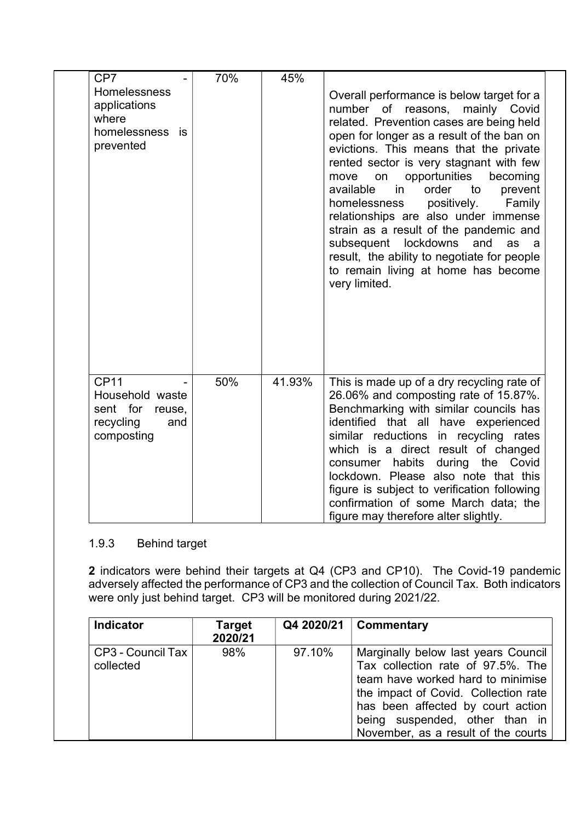| CP7                                                                                    | 70% | 45%    |                                                                                                                                                                                                                                                                                                                                                                                                                                                                                                                                                                                                                                   |
|----------------------------------------------------------------------------------------|-----|--------|-----------------------------------------------------------------------------------------------------------------------------------------------------------------------------------------------------------------------------------------------------------------------------------------------------------------------------------------------------------------------------------------------------------------------------------------------------------------------------------------------------------------------------------------------------------------------------------------------------------------------------------|
| Homelessness<br>applications<br>where<br>homelessness is<br>prevented                  |     |        | Overall performance is below target for a<br>number of reasons, mainly Covid<br>related. Prevention cases are being held<br>open for longer as a result of the ban on<br>evictions. This means that the private<br>rented sector is very stagnant with few<br>opportunities<br>move<br>on<br>becoming<br>available<br>order<br>to<br>in<br>prevent<br>homelessness<br>positively.<br>Family<br>relationships are also under immense<br>strain as a result of the pandemic and<br>subsequent<br>lockdowns<br>and<br>as<br>a<br>result, the ability to negotiate for people<br>to remain living at home has become<br>very limited. |
| <b>CP11</b><br>Household waste<br>sent for<br>reuse,<br>recycling<br>and<br>composting | 50% | 41.93% | This is made up of a dry recycling rate of<br>26.06% and composting rate of 15.87%.<br>Benchmarking with similar councils has<br>identified that all have experienced<br>similar reductions in recycling rates<br>which is a direct result of changed<br>consumer habits during the Covid<br>lockdown. Please also note that this<br>figure is subject to verification following<br>confirmation of some March data; the<br>figure may therefore alter slightly.                                                                                                                                                                  |

#### 1.9.3 Behind target

2 indicators were behind their targets at Q4 (CP3 and CP10). The Covid-19 pandemic adversely affected the performance of CP3 and the collection of Council Tax. Both indicators were only just behind target. CP3 will be monitored during 2021/22.

| Indicator                        | Target<br>2020/21 |        | $Q4 2020/21$ Commentary                                                                                                                                                                                                                                             |
|----------------------------------|-------------------|--------|---------------------------------------------------------------------------------------------------------------------------------------------------------------------------------------------------------------------------------------------------------------------|
| CP3 - Council Tax  <br>collected | 98%               | 97.10% | Marginally below last years Council<br>Tax collection rate of 97.5%. The<br>team have worked hard to minimise<br>the impact of Covid. Collection rate<br>has been affected by court action<br>being suspended, other than in<br>November, as a result of the courts |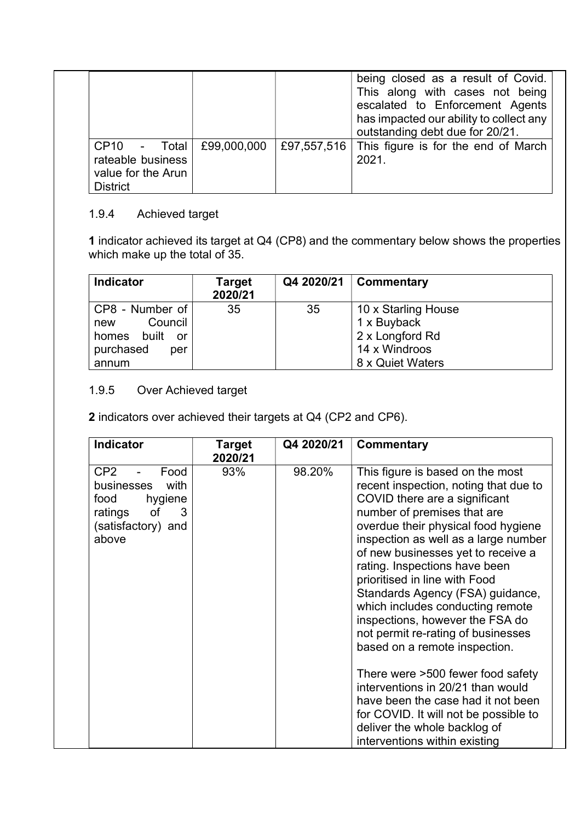|                                                                                        |  | being closed as a result of Covid.<br>This along with cases not being<br>escalated to Enforcement Agents<br>has impacted our ability to collect any<br>outstanding debt due for 20/21. |
|----------------------------------------------------------------------------------------|--|----------------------------------------------------------------------------------------------------------------------------------------------------------------------------------------|
| CP10 - Total £99,000,000<br>rateable business<br>value for the Arun<br><b>District</b> |  | £97,557,516 This figure is for the end of March<br>2021.                                                                                                                               |

# 1.9.4 Achieved target

1 indicator achieved its target at Q4 (CP8) and the commentary below shows the properties which make up the total of 35.

| <b>Indicator</b>                                                                         | <b>Target</b><br>2020/21 | Q4 2020/21 | Commentary                                                                                 |
|------------------------------------------------------------------------------------------|--------------------------|------------|--------------------------------------------------------------------------------------------|
| $CP8 - Number of$<br>Council<br>new<br>built<br>homes<br>or<br>purchased<br>per<br>annum | 35                       | 35         | 10 x Starling House<br>1 x Buyback<br>2 x Longford Rd<br>14 x Windroos<br>8 x Quiet Waters |

## 1.9.5 Over Achieved target

2 indicators over achieved their targets at Q4 (CP2 and CP6).

| <b>Indicator</b>                                                                                                      | Target<br>2020/21 | Q4 2020/21 | Commentary                                                                                                                                                                                                                                                                                                                                                                                                                                                                                                                                                                                                                                                                                                                                   |
|-----------------------------------------------------------------------------------------------------------------------|-------------------|------------|----------------------------------------------------------------------------------------------------------------------------------------------------------------------------------------------------------------------------------------------------------------------------------------------------------------------------------------------------------------------------------------------------------------------------------------------------------------------------------------------------------------------------------------------------------------------------------------------------------------------------------------------------------------------------------------------------------------------------------------------|
| CP <sub>2</sub><br>Food<br>businesses<br>with<br>hygiene<br>food<br>ratings<br>of<br>3<br>(satisfactory) and<br>above | 93%               | 98.20%     | This figure is based on the most<br>recent inspection, noting that due to<br>COVID there are a significant<br>number of premises that are<br>overdue their physical food hygiene<br>inspection as well as a large number<br>of new businesses yet to receive a<br>rating. Inspections have been<br>prioritised in line with Food<br>Standards Agency (FSA) guidance,<br>which includes conducting remote<br>inspections, however the FSA do<br>not permit re-rating of businesses<br>based on a remote inspection.<br>There were >500 fewer food safety<br>interventions in 20/21 than would<br>have been the case had it not been<br>for COVID. It will not be possible to<br>deliver the whole backlog of<br>interventions within existing |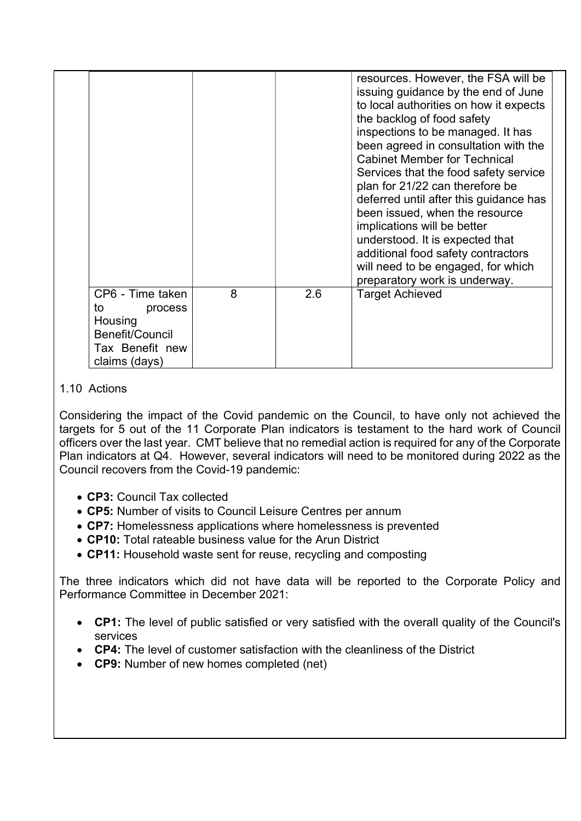|                                                                                                     |   |     | resources. However, the FSA will be<br>issuing guidance by the end of June<br>to local authorities on how it expects<br>the backlog of food safety<br>inspections to be managed. It has<br>been agreed in consultation with the<br><b>Cabinet Member for Technical</b><br>Services that the food safety service<br>plan for 21/22 can therefore be<br>deferred until after this guidance has<br>been issued, when the resource<br>implications will be better<br>understood. It is expected that<br>additional food safety contractors<br>will need to be engaged, for which<br>preparatory work is underway. |
|-----------------------------------------------------------------------------------------------------|---|-----|---------------------------------------------------------------------------------------------------------------------------------------------------------------------------------------------------------------------------------------------------------------------------------------------------------------------------------------------------------------------------------------------------------------------------------------------------------------------------------------------------------------------------------------------------------------------------------------------------------------|
| CP6 - Time taken<br>to<br>process<br>Housing<br>Benefit/Council<br>Tax Benefit new<br>claims (days) | 8 | 2.6 | <b>Target Achieved</b>                                                                                                                                                                                                                                                                                                                                                                                                                                                                                                                                                                                        |

#### 1.10 Actions

Considering the impact of the Covid pandemic on the Council, to have only not achieved the targets for 5 out of the 11 Corporate Plan indicators is testament to the hard work of Council officers over the last year. CMT believe that no remedial action is required for any of the Corporate Plan indicators at Q4. However, several indicators will need to be monitored during 2022 as the Council recovers from the Covid-19 pandemic:

- CP3: Council Tax collected
- CP5: Number of visits to Council Leisure Centres per annum
- CP7: Homelessness applications where homelessness is prevented
- CP10: Total rateable business value for the Arun District
- CP11: Household waste sent for reuse, recycling and composting

The three indicators which did not have data will be reported to the Corporate Policy and Performance Committee in December 2021:

- CP1: The level of public satisfied or very satisfied with the overall quality of the Council's services
- CP4: The level of customer satisfaction with the cleanliness of the District
- CP9: Number of new homes completed (net)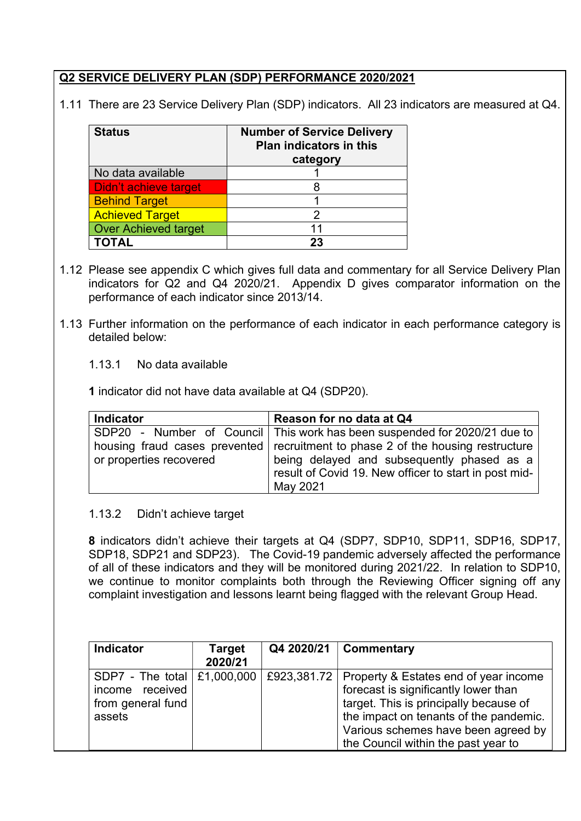## Q2 SERVICE DELIVERY PLAN (SDP) PERFORMANCE 2020/2021

1.11 There are 23 Service Delivery Plan (SDP) indicators. All 23 indicators are measured at Q4.

| <b>Status</b>               | <b>Number of Service Delivery</b><br><b>Plan indicators in this</b><br>category |
|-----------------------------|---------------------------------------------------------------------------------|
| No data available           |                                                                                 |
| Didn't achieve target       |                                                                                 |
| <b>Behind Target</b>        |                                                                                 |
| <b>Achieved Target</b>      | 2                                                                               |
| <b>Over Achieved target</b> | 11                                                                              |
|                             |                                                                                 |

- 1.12 Please see appendix C which gives full data and commentary for all Service Delivery Plan indicators for Q2 and Q4 2020/21. Appendix D gives comparator information on the performance of each indicator since 2013/14.
- 1.13 Further information on the performance of each indicator in each performance category is detailed below:

#### 1.13.1 No data available

1 indicator did not have data available at Q4 (SDP20).

| <b>Indicator</b>        | Reason for no data at Q4                                                          |
|-------------------------|-----------------------------------------------------------------------------------|
|                         | SDP20 - Number of Council   This work has been suspended for 2020/21 due to       |
|                         | housing fraud cases prevented   recruitment to phase 2 of the housing restructure |
| or properties recovered | being delayed and subsequently phased as a                                        |
|                         | result of Covid 19. New officer to start in post mid-                             |
|                         | May 2021                                                                          |

#### 1.13.2 Didn't achieve target

8 indicators didn't achieve their targets at Q4 (SDP7, SDP10, SDP11, SDP16, SDP17, SDP18, SDP21 and SDP23). The Covid-19 pandemic adversely affected the performance of all of these indicators and they will be monitored during 2021/22. In relation to SDP10, we continue to monitor complaints both through the Reviewing Officer signing off any complaint investigation and lessons learnt being flagged with the relevant Group Head.

| <b>Indicator</b>                                                                  | <b>Target</b><br>2020/21 | Q4 2020/21 | <b>Commentary</b>                                                                                                                                                                                                                                             |
|-----------------------------------------------------------------------------------|--------------------------|------------|---------------------------------------------------------------------------------------------------------------------------------------------------------------------------------------------------------------------------------------------------------------|
| SDP7 - The total   £1,000,000  <br>income received<br>from general fund<br>assets |                          |            | £923,381.72   Property & Estates end of year income<br>forecast is significantly lower than<br>target. This is principally because of<br>the impact on tenants of the pandemic.<br>Various schemes have been agreed by<br>the Council within the past year to |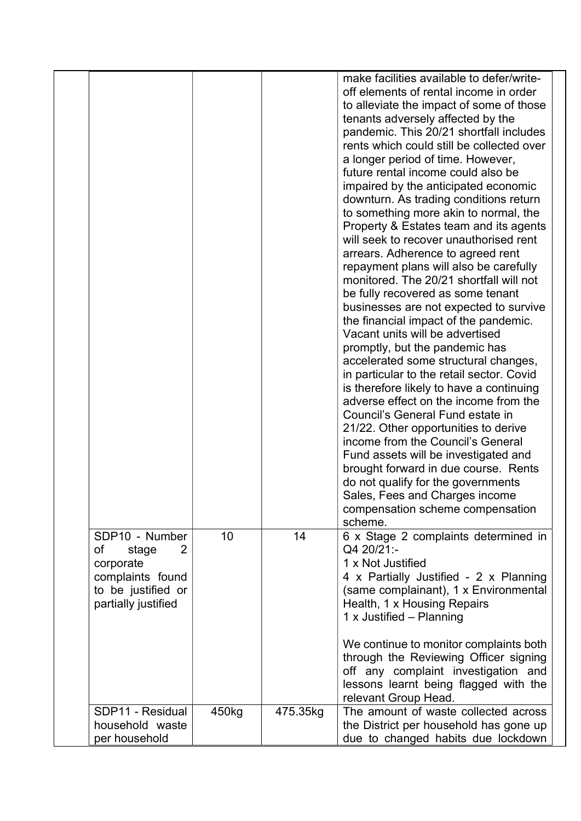|                     |       |          | make facilities available to defer/write-                    |
|---------------------|-------|----------|--------------------------------------------------------------|
|                     |       |          |                                                              |
|                     |       |          | off elements of rental income in order                       |
|                     |       |          | to alleviate the impact of some of those                     |
|                     |       |          | tenants adversely affected by the                            |
|                     |       |          | pandemic. This 20/21 shortfall includes                      |
|                     |       |          | rents which could still be collected over                    |
|                     |       |          | a longer period of time. However,                            |
|                     |       |          | future rental income could also be                           |
|                     |       |          | impaired by the anticipated economic                         |
|                     |       |          | downturn. As trading conditions return                       |
|                     |       |          | to something more akin to normal, the                        |
|                     |       |          | Property & Estates team and its agents                       |
|                     |       |          | will seek to recover unauthorised rent                       |
|                     |       |          | arrears. Adherence to agreed rent                            |
|                     |       |          |                                                              |
|                     |       |          | repayment plans will also be carefully                       |
|                     |       |          | monitored. The 20/21 shortfall will not                      |
|                     |       |          | be fully recovered as some tenant                            |
|                     |       |          | businesses are not expected to survive                       |
|                     |       |          | the financial impact of the pandemic.                        |
|                     |       |          | Vacant units will be advertised                              |
|                     |       |          | promptly, but the pandemic has                               |
|                     |       |          | accelerated some structural changes,                         |
|                     |       |          | in particular to the retail sector. Covid                    |
|                     |       |          | is therefore likely to have a continuing                     |
|                     |       |          | adverse effect on the income from the                        |
|                     |       |          | Council's General Fund estate in                             |
|                     |       |          | 21/22. Other opportunities to derive                         |
|                     |       |          | income from the Council's General                            |
|                     |       |          | Fund assets will be investigated and                         |
|                     |       |          | brought forward in due course. Rents                         |
|                     |       |          |                                                              |
|                     |       |          | do not qualify for the governments                           |
|                     |       |          | Sales, Fees and Charges income                               |
|                     |       |          | compensation scheme compensation                             |
|                     |       |          | scheme.                                                      |
| SDP10 - Number      | 10    | 14       | 6 x Stage 2 complaints determined in                         |
| of<br>2<br>stage    |       |          | Q4 20/21:-                                                   |
| corporate           |       |          | 1 x Not Justified                                            |
| complaints found    |       |          | 4 x Partially Justified - 2 x Planning                       |
| to be justified or  |       |          | (same complainant), 1 x Environmental                        |
| partially justified |       |          | Health, 1 x Housing Repairs                                  |
|                     |       |          | 1 x Justified - Planning                                     |
|                     |       |          |                                                              |
|                     |       |          | We continue to monitor complaints both                       |
|                     |       |          | through the Reviewing Officer signing                        |
|                     |       |          | off any complaint investigation and                          |
|                     |       |          | lessons learnt being flagged with the                        |
|                     |       |          |                                                              |
|                     |       |          | relevant Group Head.<br>The amount of waste collected across |
| SDP11 - Residual    | 450kg | 475.35kg |                                                              |
| household waste     |       |          | the District per household has gone up                       |
| per household       |       |          | due to changed habits due lockdown                           |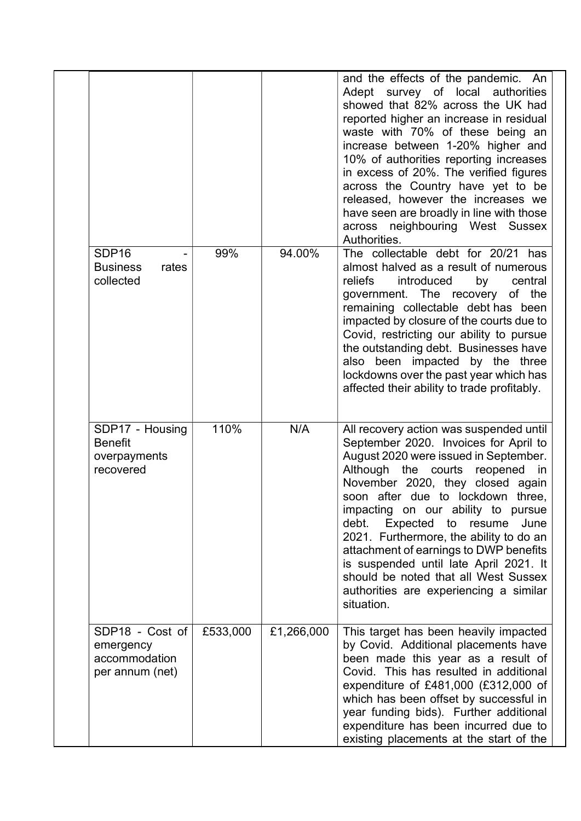|                                                                  |          |            | and the effects of the pandemic. An<br>Adept survey of local authorities<br>showed that 82% across the UK had<br>reported higher an increase in residual<br>waste with 70% of these being an<br>increase between 1-20% higher and<br>10% of authorities reporting increases<br>in excess of 20%. The verified figures<br>across the Country have yet to be<br>released, however the increases we<br>have seen are broadly in line with those<br>across neighbouring West Sussex<br>Authorities.                                                            |
|------------------------------------------------------------------|----------|------------|------------------------------------------------------------------------------------------------------------------------------------------------------------------------------------------------------------------------------------------------------------------------------------------------------------------------------------------------------------------------------------------------------------------------------------------------------------------------------------------------------------------------------------------------------------|
| SDP <sub>16</sub><br><b>Business</b><br>rates<br>collected       | 99%      | 94.00%     | The collectable debt for 20/21 has<br>almost halved as a result of numerous<br>reliefs<br>introduced<br>by<br>central<br>government. The recovery of the<br>remaining collectable debt has been<br>impacted by closure of the courts due to<br>Covid, restricting our ability to pursue<br>the outstanding debt. Businesses have<br>also been impacted by the three<br>lockdowns over the past year which has<br>affected their ability to trade profitably.                                                                                               |
| SDP17 - Housing<br><b>Benefit</b><br>overpayments<br>recovered   | 110%     | N/A        | All recovery action was suspended until<br>September 2020. Invoices for April to<br>August 2020 were issued in September.<br>Although the courts reopened<br>in<br>November 2020, they closed again<br>soon after due to lockdown three,<br>impacting on our ability to pursue<br>Expected<br>debt.<br>to<br>resume<br>June<br>2021. Furthermore, the ability to do an<br>attachment of earnings to DWP benefits<br>is suspended until late April 2021. It<br>should be noted that all West Sussex<br>authorities are experiencing a similar<br>situation. |
| SDP18 - Cost of<br>emergency<br>accommodation<br>per annum (net) | £533,000 | £1,266,000 | This target has been heavily impacted<br>by Covid. Additional placements have<br>been made this year as a result of<br>Covid. This has resulted in additional<br>expenditure of £481,000 (£312,000 of<br>which has been offset by successful in<br>year funding bids). Further additional<br>expenditure has been incurred due to<br>existing placements at the start of the                                                                                                                                                                               |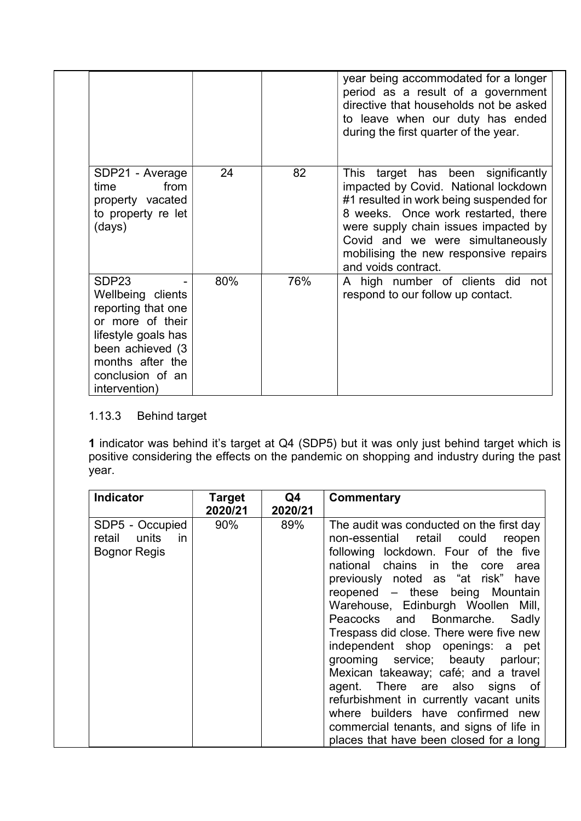|                                                                                                                                                                                      |     |     | year being accommodated for a longer<br>period as a result of a government<br>directive that households not be asked<br>to leave when our duty has ended<br>during the first quarter of the year.                                                                                                        |
|--------------------------------------------------------------------------------------------------------------------------------------------------------------------------------------|-----|-----|----------------------------------------------------------------------------------------------------------------------------------------------------------------------------------------------------------------------------------------------------------------------------------------------------------|
| SDP21 - Average<br>from<br>time<br>property vacated<br>to property re let<br>(days)                                                                                                  | 24  | 82  | This target has been significantly<br>impacted by Covid. National lockdown<br>#1 resulted in work being suspended for<br>8 weeks. Once work restarted, there<br>were supply chain issues impacted by<br>Covid and we were simultaneously<br>mobilising the new responsive repairs<br>and voids contract. |
| SDP <sub>23</sub><br>Wellbeing clients<br>reporting that one<br>or more of their<br>lifestyle goals has<br>been achieved (3<br>months after the<br>conclusion of an<br>intervention) | 80% | 76% | A high number of clients did<br>not<br>respond to our follow up contact.                                                                                                                                                                                                                                 |

# 1.13.3 Behind target

1 indicator was behind it's target at Q4 (SDP5) but it was only just behind target which is positive considering the effects on the pandemic on shopping and industry during the past .<br>year.

| <b>Indicator</b>                                                       | <b>Target</b><br>2020/21 | Q4<br>2020/21 | Commentary                                                                                                                                                                                                                                                                                                                                                                                                                                                                                                                                                                                                                                                                              |
|------------------------------------------------------------------------|--------------------------|---------------|-----------------------------------------------------------------------------------------------------------------------------------------------------------------------------------------------------------------------------------------------------------------------------------------------------------------------------------------------------------------------------------------------------------------------------------------------------------------------------------------------------------------------------------------------------------------------------------------------------------------------------------------------------------------------------------------|
| SDP5 - Occupied<br>units<br>retail<br><i>in</i><br><b>Bognor Regis</b> | 90%                      | 89%           | The audit was conducted on the first day<br>non-essential retail could<br>reopen<br>following lockdown. Four of the five<br>national chains in the<br>core<br>area<br>previously noted as "at risk" have<br>reopened - these being Mountain<br>Warehouse, Edinburgh Woollen Mill,<br>Peacocks and Bonmarche. Sadly<br>Trespass did close. There were five new<br>independent shop openings: a pet<br>grooming service; beauty parlour;<br>Mexican takeaway; café; and a travel<br>agent. There are also signs of<br>refurbishment in currently vacant units<br>where builders have confirmed new<br>commercial tenants, and signs of life in<br>places that have been closed for a long |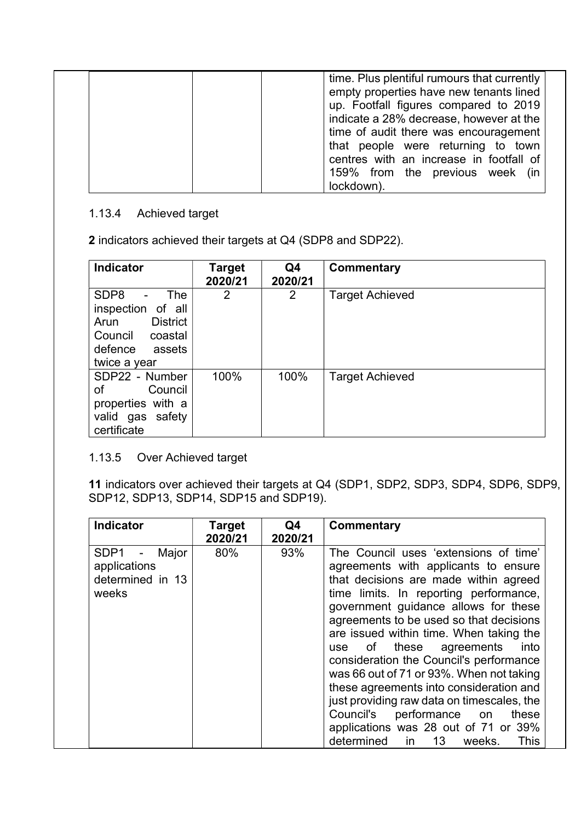| time. Plus plentiful rumours that currently<br>empty properties have new tenants lined<br>up. Footfall figures compared to 2019<br>indicate a 28% decrease, however at the |
|----------------------------------------------------------------------------------------------------------------------------------------------------------------------------|
| time of audit there was encouragement<br>that people were returning to town<br>centres with an increase in footfall of<br>159% from the previous week<br>(in               |
| lockdown).                                                                                                                                                                 |

# 1.13.4 Achieved target

2 indicators achieved their targets at Q4 (SDP8 and SDP22).

| <b>Indicator</b>                                                                                                                                      | <b>Target</b><br>2020/21 | Q4<br>2020/21 | Commentary             |
|-------------------------------------------------------------------------------------------------------------------------------------------------------|--------------------------|---------------|------------------------|
| SDP <sub>8</sub><br><b>The</b><br>$\blacksquare$<br>inspection of all<br><b>District</b><br>Arun<br>Council coastal<br>defence assets<br>twice a year | 2                        | 2             | <b>Target Achieved</b> |
| SDP22 - Number<br>Council<br>of<br>properties with a<br>valid gas safety<br>certificate                                                               | 100%                     | 100%          | <b>Target Achieved</b> |

## 1.13.5 Over Achieved target

11 indicators over achieved their targets at Q4 (SDP1, SDP2, SDP3, SDP4, SDP6, SDP9, SDP12, SDP13, SDP14, SDP15 and SDP19).

| <b>Indicator</b>                                                                       | <b>Target</b><br>2020/21 | Q4<br>2020/21 | Commentary                                                                                                                                                                                                                                                                                                                                                                                                                                                                                                                                                                                                                                        |
|----------------------------------------------------------------------------------------|--------------------------|---------------|---------------------------------------------------------------------------------------------------------------------------------------------------------------------------------------------------------------------------------------------------------------------------------------------------------------------------------------------------------------------------------------------------------------------------------------------------------------------------------------------------------------------------------------------------------------------------------------------------------------------------------------------------|
| SDP1<br>Major<br>$\overline{\phantom{a}}$<br>applications<br>determined in 13<br>weeks | 80%                      | 93%           | The Council uses 'extensions of time'<br>agreements with applicants to ensure<br>that decisions are made within agreed<br>time limits. In reporting performance,<br>government guidance allows for these<br>agreements to be used so that decisions<br>are issued within time. When taking the<br>of these agreements<br>into<br>use<br>consideration the Council's performance<br>was 66 out of 71 or 93%. When not taking<br>these agreements into consideration and<br>just providing raw data on timescales, the<br>Council's performance on<br>these<br>applications was 28 out of 71 or 39%<br>determined<br>in 13<br>weeks.<br><b>This</b> |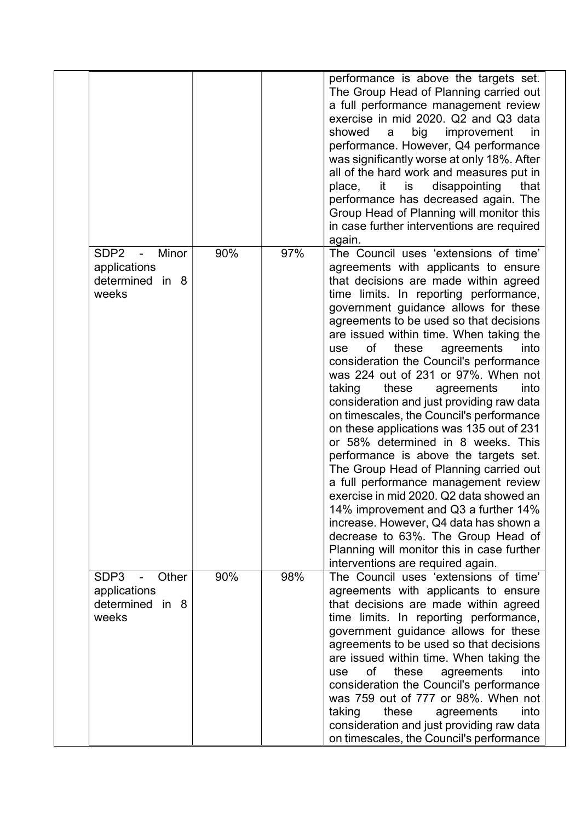|                                                                                         |     |     | performance is above the targets set.<br>The Group Head of Planning carried out<br>a full performance management review<br>exercise in mid 2020. Q2 and Q3 data<br>showed<br>big<br>improvement<br>a<br>in.<br>performance. However, Q4 performance<br>was significantly worse at only 18%. After<br>all of the hard work and measures put in<br>disappointing<br>it<br>is<br>that<br>place,<br>performance has decreased again. The<br>Group Head of Planning will monitor this<br>in case further interventions are required                                                                                                                                                                                                                                                                                                                                                                                                                                                                                                              |
|-----------------------------------------------------------------------------------------|-----|-----|---------------------------------------------------------------------------------------------------------------------------------------------------------------------------------------------------------------------------------------------------------------------------------------------------------------------------------------------------------------------------------------------------------------------------------------------------------------------------------------------------------------------------------------------------------------------------------------------------------------------------------------------------------------------------------------------------------------------------------------------------------------------------------------------------------------------------------------------------------------------------------------------------------------------------------------------------------------------------------------------------------------------------------------------|
| SDP <sub>2</sub><br>Minor<br>$\blacksquare$<br>applications<br>determined in 8<br>weeks | 90% | 97% | again.<br>The Council uses 'extensions of time'<br>agreements with applicants to ensure<br>that decisions are made within agreed<br>time limits. In reporting performance,<br>government guidance allows for these<br>agreements to be used so that decisions<br>are issued within time. When taking the<br>agreements<br>into<br>of<br>these<br>use<br>consideration the Council's performance<br>was 224 out of 231 or 97%. When not<br>taking<br>these<br>into<br>agreements<br>consideration and just providing raw data<br>on timescales, the Council's performance<br>on these applications was 135 out of 231<br>or 58% determined in 8 weeks. This<br>performance is above the targets set.<br>The Group Head of Planning carried out<br>a full performance management review<br>exercise in mid 2020. Q2 data showed an<br>14% improvement and Q3 a further 14%<br>increase. However, Q4 data has shown a<br>decrease to 63%. The Group Head of<br>Planning will monitor this in case further<br>interventions are required again. |
| SDP3<br>Other<br>$\blacksquare$<br>applications<br>determined in 8<br>weeks             | 90% | 98% | The Council uses 'extensions of time'<br>agreements with applicants to ensure<br>that decisions are made within agreed<br>time limits. In reporting performance,<br>government guidance allows for these<br>agreements to be used so that decisions<br>are issued within time. When taking the<br>of<br>into<br>these<br>agreements<br>use<br>consideration the Council's performance<br>was 759 out of 777 or 98%. When not<br>taking<br>these<br>agreements<br>into<br>consideration and just providing raw data<br>on timescales, the Council's performance                                                                                                                                                                                                                                                                                                                                                                                                                                                                              |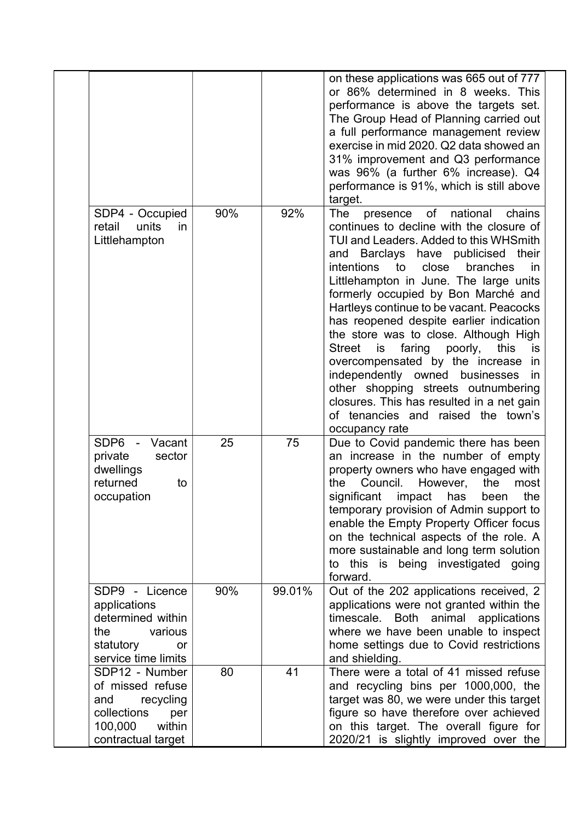|                                                                                                                         |     |        | on these applications was 665 out of 777<br>or 86% determined in 8 weeks. This<br>performance is above the targets set.<br>The Group Head of Planning carried out<br>a full performance management review<br>exercise in mid 2020. Q2 data showed an<br>31% improvement and Q3 performance<br>was 96% (a further 6% increase). Q4<br>performance is 91%, which is still above<br>target.                                                                                                                                                                                                                                                                                                                       |
|-------------------------------------------------------------------------------------------------------------------------|-----|--------|----------------------------------------------------------------------------------------------------------------------------------------------------------------------------------------------------------------------------------------------------------------------------------------------------------------------------------------------------------------------------------------------------------------------------------------------------------------------------------------------------------------------------------------------------------------------------------------------------------------------------------------------------------------------------------------------------------------|
| SDP4 - Occupied<br>units<br>retail<br>in<br>Littlehampton                                                               | 90% | 92%    | national<br>The<br>presence of<br>chains<br>continues to decline with the closure of<br>TUI and Leaders. Added to this WHSmith<br>and Barclays have publicised<br>their<br>close<br>intentions to<br>branches<br>in<br>Littlehampton in June. The large units<br>formerly occupied by Bon Marché and<br>Hartleys continue to be vacant. Peacocks<br>has reopened despite earlier indication<br>the store was to close. Although High<br>Street<br>faring poorly,<br>this<br>is<br>is<br>overcompensated by the increase in<br>independently owned businesses<br>in<br>other shopping streets outnumbering<br>closures. This has resulted in a net gain<br>of tenancies and raised the town's<br>occupancy rate |
| SDP6 - Vacant<br>private<br>sector<br>dwellings<br>returned<br>to<br>occupation                                         | 25  | 75     | Due to Covid pandemic there has been<br>an increase in the number of empty<br>property owners who have engaged with<br>the<br>Council.<br>However,<br>the<br>most<br>significant<br>impact<br>has<br>been<br>the<br>temporary provision of Admin support to<br>enable the Empty Property Officer focus<br>on the technical aspects of the role. A<br>more sustainable and long term solution<br>to this is being investigated going<br>forward.                                                                                                                                                                                                                                                                |
| SDP9 - Licence<br>applications<br>determined within<br>the<br>various<br>statutory<br>or<br>service time limits         | 90% | 99.01% | Out of the 202 applications received, 2<br>applications were not granted within the<br>timescale. Both animal applications<br>where we have been unable to inspect<br>home settings due to Covid restrictions<br>and shielding.                                                                                                                                                                                                                                                                                                                                                                                                                                                                                |
| SDP12 - Number<br>of missed refuse<br>and<br>recycling<br>collections<br>per<br>within<br>100,000<br>contractual target | 80  | 41     | There were a total of 41 missed refuse<br>and recycling bins per 1000,000, the<br>target was 80, we were under this target<br>figure so have therefore over achieved<br>on this target. The overall figure for<br>2020/21 is slightly improved over the                                                                                                                                                                                                                                                                                                                                                                                                                                                        |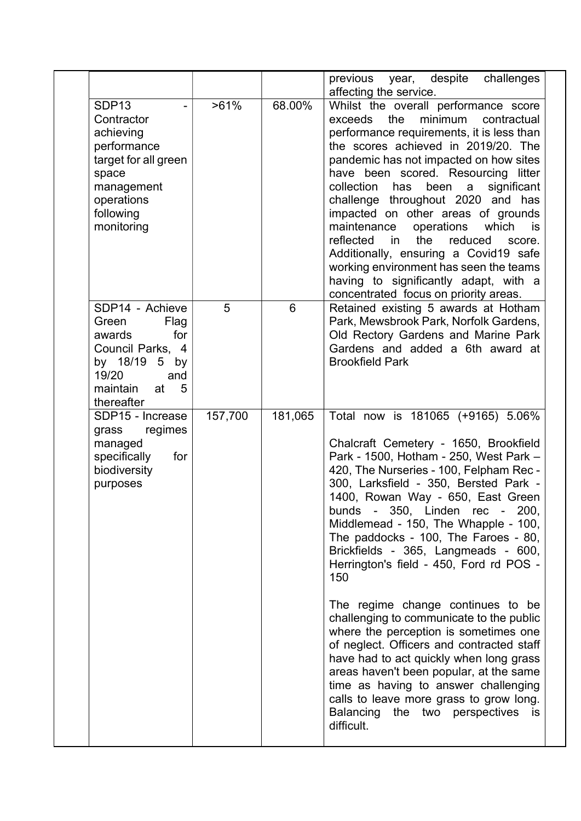|                                                                                                                                                     |         |         | previous year, despite challenges                                                                                                                                                                                                                                                                                                                                                                                                                                                                                                                                                                                                                                                                                                                                                                                                                              |
|-----------------------------------------------------------------------------------------------------------------------------------------------------|---------|---------|----------------------------------------------------------------------------------------------------------------------------------------------------------------------------------------------------------------------------------------------------------------------------------------------------------------------------------------------------------------------------------------------------------------------------------------------------------------------------------------------------------------------------------------------------------------------------------------------------------------------------------------------------------------------------------------------------------------------------------------------------------------------------------------------------------------------------------------------------------------|
|                                                                                                                                                     |         |         | affecting the service.                                                                                                                                                                                                                                                                                                                                                                                                                                                                                                                                                                                                                                                                                                                                                                                                                                         |
| SDP <sub>13</sub><br>Contractor<br>achieving<br>performance<br>target for all green<br>space<br>management<br>operations<br>following<br>monitoring | $>61\%$ | 68.00%  | Whilst the overall performance score<br>the<br>exceeds<br>minimum<br>contractual<br>performance requirements, it is less than<br>the scores achieved in 2019/20. The<br>pandemic has not impacted on how sites<br>have been scored. Resourcing litter<br>collection<br>has<br>been<br>significant<br>a<br>challenge throughout 2020 and has<br>impacted on other areas of grounds<br>maintenance<br>operations<br>which<br>is<br>the<br>reduced<br>reflected<br>in<br>score.<br>Additionally, ensuring a Covid19 safe<br>working environment has seen the teams<br>having to significantly adapt, with a<br>concentrated focus on priority areas.                                                                                                                                                                                                              |
| SDP14 - Achieve<br>Green<br>Flag<br>for<br>awards<br>Council Parks, 4<br>by 18/19<br>5 by<br>19/20<br>and<br>maintain<br>at<br>5<br>thereafter      | 5       | 6       | Retained existing 5 awards at Hotham<br>Park, Mewsbrook Park, Norfolk Gardens,<br>Old Rectory Gardens and Marine Park<br>Gardens and added a 6th award at<br><b>Brookfield Park</b>                                                                                                                                                                                                                                                                                                                                                                                                                                                                                                                                                                                                                                                                            |
| SDP15 - Increase<br>grass<br>regimes<br>managed<br>for<br>specifically<br>biodiversity<br>purposes                                                  | 157,700 | 181,065 | Total now is 181065 (+9165) 5.06%<br>Chalcraft Cemetery - 1650, Brookfield<br>Park - 1500, Hotham - 250, West Park -<br>420, The Nurseries - 100, Felpham Rec -<br>300, Larksfield - 350, Bersted Park -<br>1400, Rowan Way - 650, East Green<br>bunds - 350, Linden rec - 200,<br>Middlemead - 150, The Whapple - 100,<br>The paddocks - 100, The Faroes - 80,<br>Brickfields - 365, Langmeads - 600,<br>Herrington's field - 450, Ford rd POS -<br>150<br>The regime change continues to be<br>challenging to communicate to the public<br>where the perception is sometimes one<br>of neglect. Officers and contracted staff<br>have had to act quickly when long grass<br>areas haven't been popular, at the same<br>time as having to answer challenging<br>calls to leave more grass to grow long.<br>Balancing the two perspectives<br>is<br>difficult. |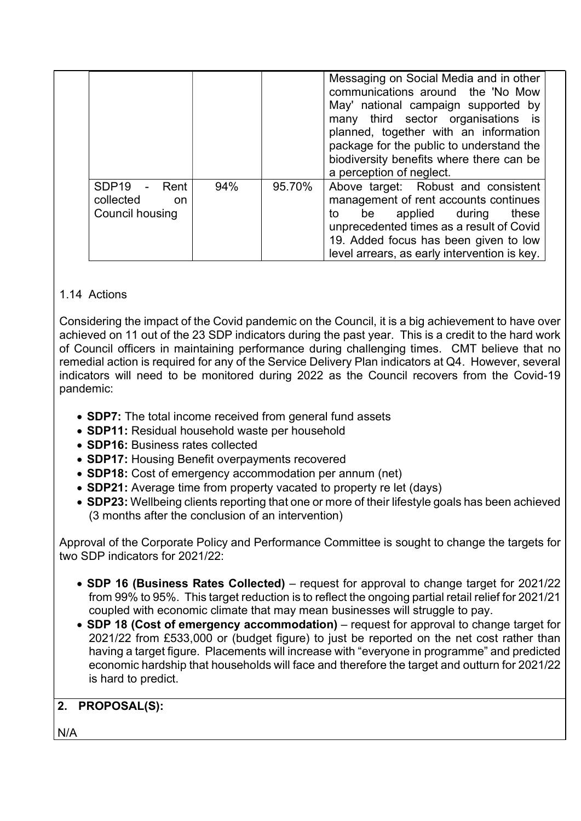|                                                                   |     |        | Messaging on Social Media and in other<br>communications around the 'No Mow<br>May' national campaign supported by<br>many third sector organisations is<br>planned, together with an information<br>package for the public to understand the<br>biodiversity benefits where there can be<br>a perception of neglect. |
|-------------------------------------------------------------------|-----|--------|-----------------------------------------------------------------------------------------------------------------------------------------------------------------------------------------------------------------------------------------------------------------------------------------------------------------------|
| SDP <sub>19</sub><br>- Rent<br>collected<br>on<br>Council housing | 94% | 95.70% | Above target: Robust and consistent<br>management of rent accounts continues<br>applied during<br>these<br>be<br>to<br>unprecedented times as a result of Covid<br>19. Added focus has been given to low<br>level arrears, as early intervention is key.                                                              |

## 1.14 Actions

Considering the impact of the Covid pandemic on the Council, it is a big achievement to have over achieved on 11 out of the 23 SDP indicators during the past year. This is a credit to the hard work of Council officers in maintaining performance during challenging times. CMT believe that no remedial action is required for any of the Service Delivery Plan indicators at Q4. However, several indicators will need to be monitored during 2022 as the Council recovers from the Covid-19 pandemic:

- SDP7: The total income received from general fund assets
- SDP11: Residual household waste per household
- SDP16: Business rates collected
- SDP17: Housing Benefit overpayments recovered
- SDP18: Cost of emergency accommodation per annum (net)
- SDP21: Average time from property vacated to property re let (days)
- SDP23: Wellbeing clients reporting that one or more of their lifestyle goals has been achieved (3 months after the conclusion of an intervention)

Approval of the Corporate Policy and Performance Committee is sought to change the targets for two SDP indicators for 2021/22:

- SDP 16 (Business Rates Collected) request for approval to change target for 2021/22 from 99% to 95%. This target reduction is to reflect the ongoing partial retail relief for 2021/21 coupled with economic climate that may mean businesses will struggle to pay.
- SDP 18 (Cost of emergency accommodation) request for approval to change target for 2021/22 from £533,000 or (budget figure) to just be reported on the net cost rather than having a target figure. Placements will increase with "everyone in programme" and predicted economic hardship that households will face and therefore the target and outturn for 2021/22 is hard to predict.

# 2. PROPOSAL(S):

N/A